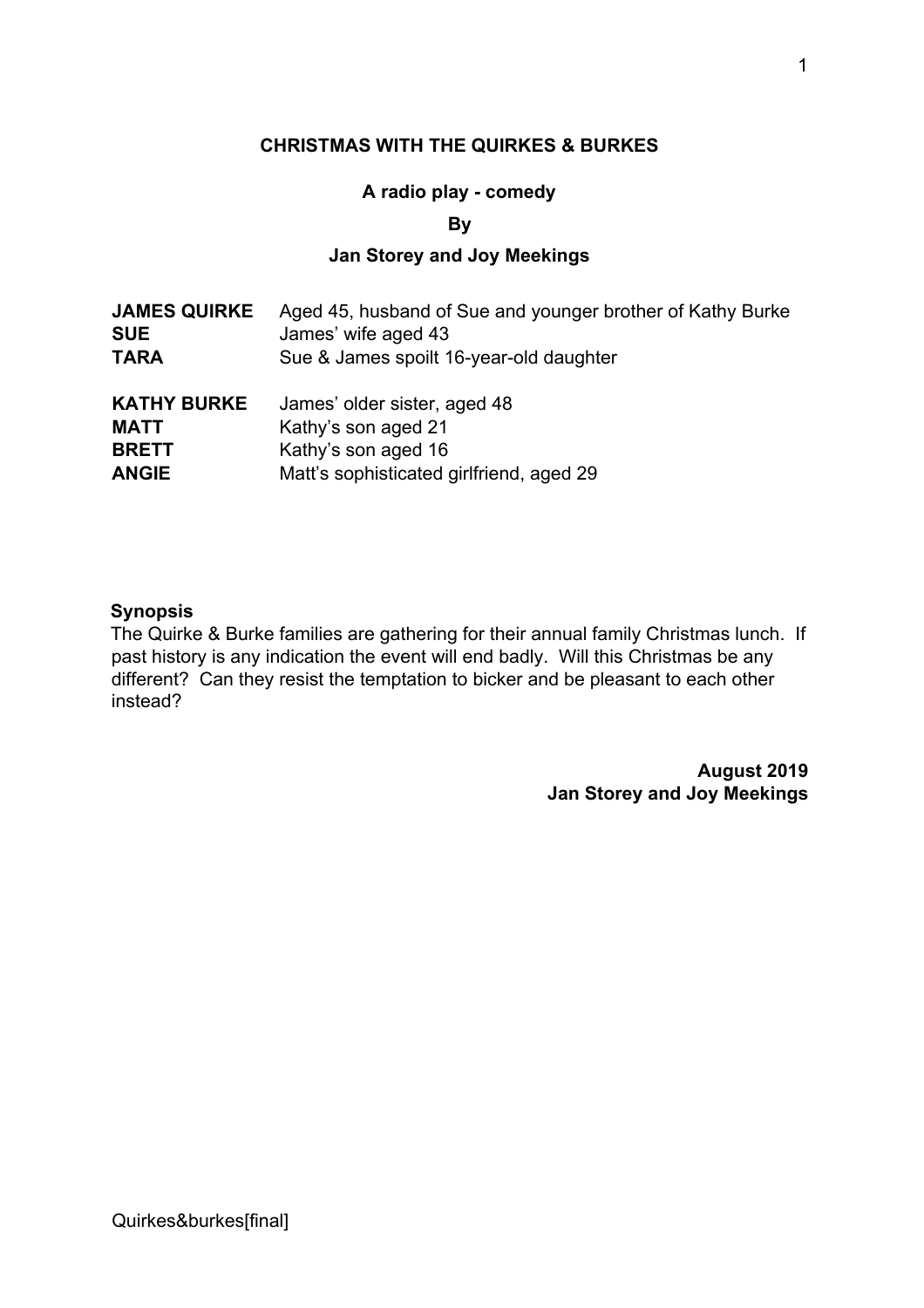#### **CHRISTMAS WITH THE QUIRKES & BURKES**

#### **A radio play - comedy**

**By** 

### **Jan Storey and Joy Meekings**

| <b>JAMES QUIRKE</b> | Aged 45, husband of Sue and younger brother of Kathy Burke |
|---------------------|------------------------------------------------------------|
| <b>SUE</b>          | James' wife aged 43                                        |
| <b>TARA</b>         | Sue & James spoilt 16-year-old daughter                    |
| <b>KATHY BURKE</b>  | James' older sister, aged 48                               |
| <b>MATT</b>         | Kathy's son aged 21                                        |
| <b>BRETT</b>        | Kathy's son aged 16                                        |
| <b>ANGIE</b>        | Matt's sophisticated girlfriend, aged 29                   |

#### **Synopsis**

The Quirke & Burke families are gathering for their annual family Christmas lunch. If past history is any indication the event will end badly. Will this Christmas be any different? Can they resist the temptation to bicker and be pleasant to each other instead?

> **August 2019 Jan Storey and Joy Meekings**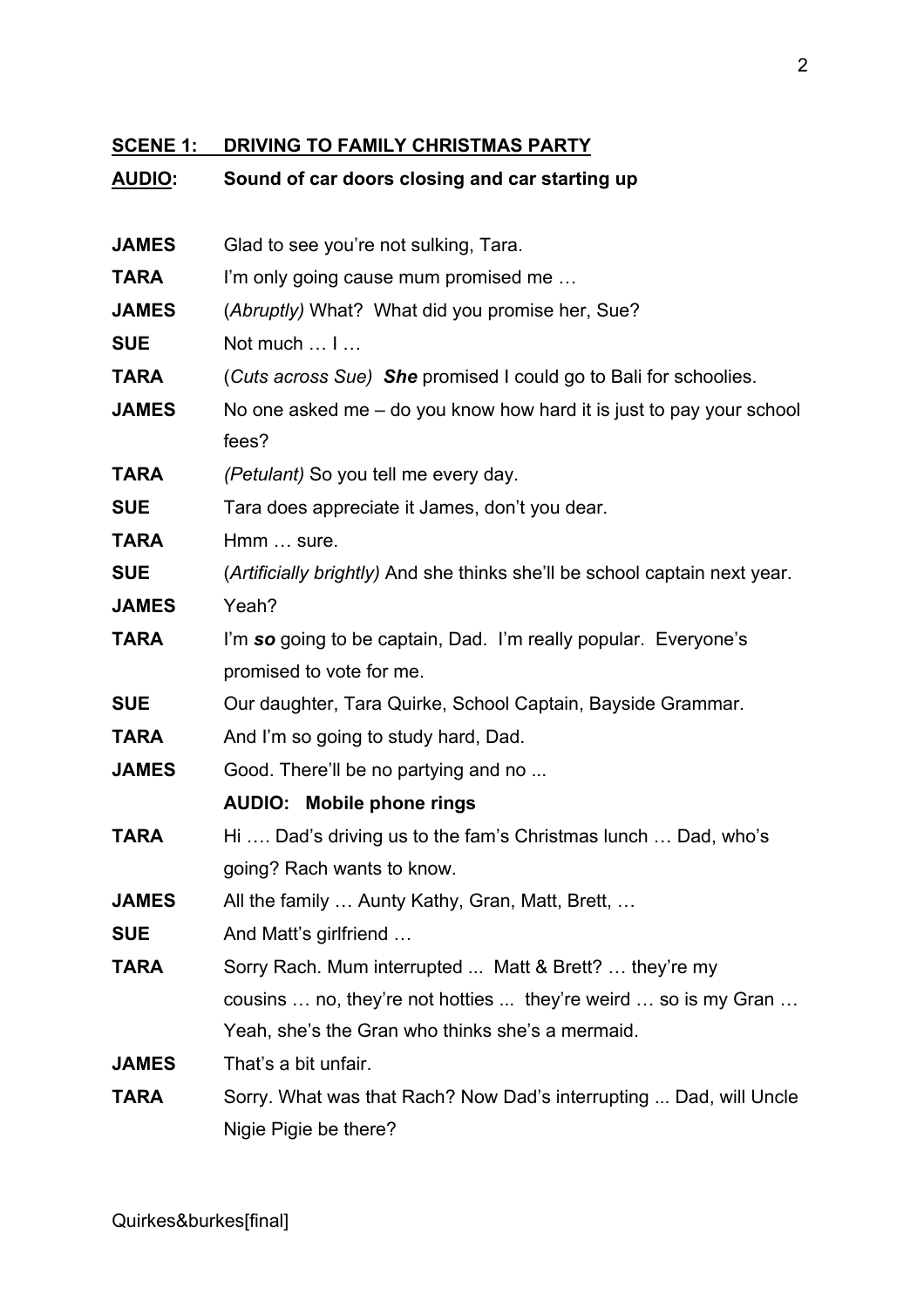# **SCENE 1: DRIVING TO FAMILY CHRISTMAS PARTY**

## **AUDIO: Sound of car doors closing and car starting up**

| <b>JAMES</b> | Glad to see you're not sulking, Tara.                                      |
|--------------|----------------------------------------------------------------------------|
| <b>TARA</b>  | I'm only going cause mum promised me                                       |
| <b>JAMES</b> | (Abruptly) What? What did you promise her, Sue?                            |
| <b>SUE</b>   | Not much  I                                                                |
| <b>TARA</b>  | (Cuts across Sue) She promised I could go to Bali for schoolies.           |
| <b>JAMES</b> | No one asked me – do you know how hard it is just to pay your school       |
|              | fees?                                                                      |
| <b>TARA</b>  | (Petulant) So you tell me every day.                                       |
| <b>SUE</b>   | Tara does appreciate it James, don't you dear.                             |
| <b>TARA</b>  | Hmm  sure.                                                                 |
| <b>SUE</b>   | (Artificially brightly) And she thinks she'll be school captain next year. |
| <b>JAMES</b> | Yeah?                                                                      |
| <b>TARA</b>  | I'm so going to be captain, Dad. I'm really popular. Everyone's            |
|              | promised to vote for me.                                                   |
| <b>SUE</b>   | Our daughter, Tara Quirke, School Captain, Bayside Grammar.                |
| <b>TARA</b>  | And I'm so going to study hard, Dad.                                       |
| <b>JAMES</b> | Good. There'll be no partying and no                                       |
|              | <b>AUDIO: Mobile phone rings</b>                                           |
| <b>TARA</b>  | Hi  Dad's driving us to the fam's Christmas lunch  Dad, who's              |
|              | going? Rach wants to know.                                                 |
| <b>JAMES</b> | All the family  Aunty Kathy, Gran, Matt, Brett,                            |
| <b>SUE</b>   | And Matt's girlfriend                                                      |
| <b>TARA</b>  | Sorry Rach. Mum interrupted  Matt & Brett?  they're my                     |
|              | cousins  no, they're not hotties  they're weird  so is my Gran             |
|              | Yeah, she's the Gran who thinks she's a mermaid.                           |
| <b>JAMES</b> | That's a bit unfair.                                                       |
| <b>TARA</b>  | Sorry. What was that Rach? Now Dad's interrupting  Dad, will Uncle         |
|              | Nigie Pigie be there?                                                      |
|              |                                                                            |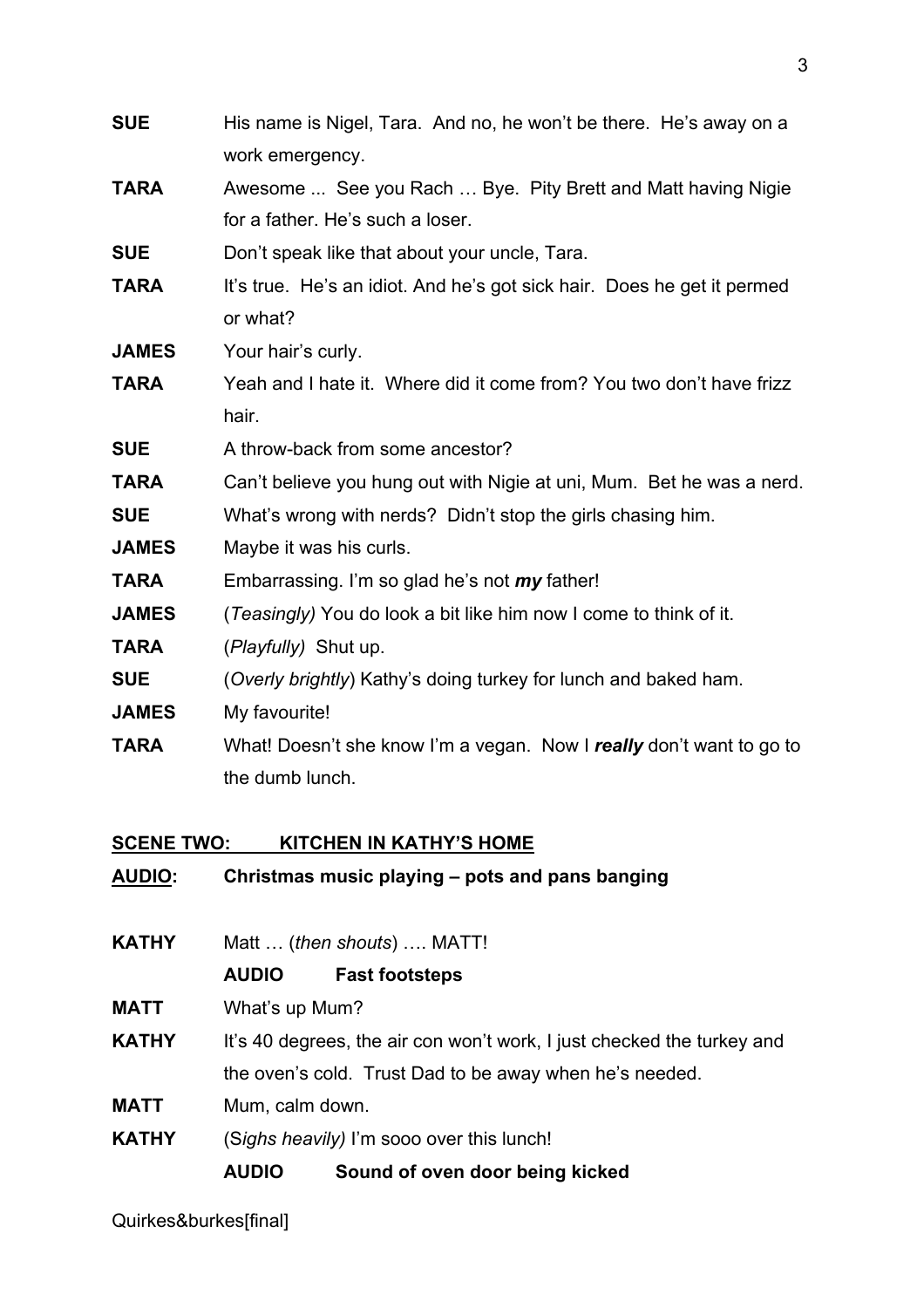| <b>SUE</b>   | His name is Nigel, Tara. And no, he won't be there. He's away on a      |
|--------------|-------------------------------------------------------------------------|
|              | work emergency.                                                         |
| <b>TARA</b>  | Awesome  See you Rach  Bye. Pity Brett and Matt having Nigie            |
|              | for a father. He's such a loser.                                        |
| <b>SUE</b>   | Don't speak like that about your uncle, Tara.                           |
| <b>TARA</b>  | It's true. He's an idiot. And he's got sick hair. Does he get it permed |
|              | or what?                                                                |
| <b>JAMES</b> | Your hair's curly.                                                      |
| <b>TARA</b>  | Yeah and I hate it. Where did it come from? You two don't have frizz    |
|              | hair.                                                                   |
| <b>SUE</b>   | A throw-back from some ancestor?                                        |
| <b>TARA</b>  | Can't believe you hung out with Nigie at uni, Mum. Bet he was a nerd.   |
| <b>SUE</b>   | What's wrong with nerds? Didn't stop the girls chasing him.             |
| <b>JAMES</b> | Maybe it was his curls.                                                 |
| <b>TARA</b>  | Embarrassing. I'm so glad he's not my father!                           |
| <b>JAMES</b> | (Teasingly) You do look a bit like him now I come to think of it.       |
| <b>TARA</b>  | (Playfully) Shut up.                                                    |
| <b>SUE</b>   | (Overly brightly) Kathy's doing turkey for lunch and baked ham.         |
| <b>JAMES</b> | My favourite!                                                           |
| <b>TARA</b>  | What! Doesn't she know I'm a vegan. Now I really don't want to go to    |
|              | the dumb lunch.                                                         |
|              |                                                                         |
|              |                                                                         |

### **SCENE TWO: KITCHEN IN KATHY'S HOME**

| <b>AUDIO:</b> |                            | Christmas music playing – pots and pans banging                        |  |
|---------------|----------------------------|------------------------------------------------------------------------|--|
| <b>KATHY</b>  | Matt  (then shouts)  MATT! |                                                                        |  |
|               | <b>AUDIO</b>               | <b>Fast footsteps</b>                                                  |  |
| <b>MATT</b>   | What's up Mum?             |                                                                        |  |
| <b>KATHY</b>  |                            | It's 40 degrees, the air con won't work, I just checked the turkey and |  |
|               |                            | the oven's cold. Trust Dad to be away when he's needed.                |  |
| <b>MATT</b>   | Mum, calm down.            |                                                                        |  |
| <b>KATHY</b>  |                            | (Sighs heavily) I'm sooo over this lunch!                              |  |
|               | <b>AUDIO</b>               | Sound of oven door being kicked                                        |  |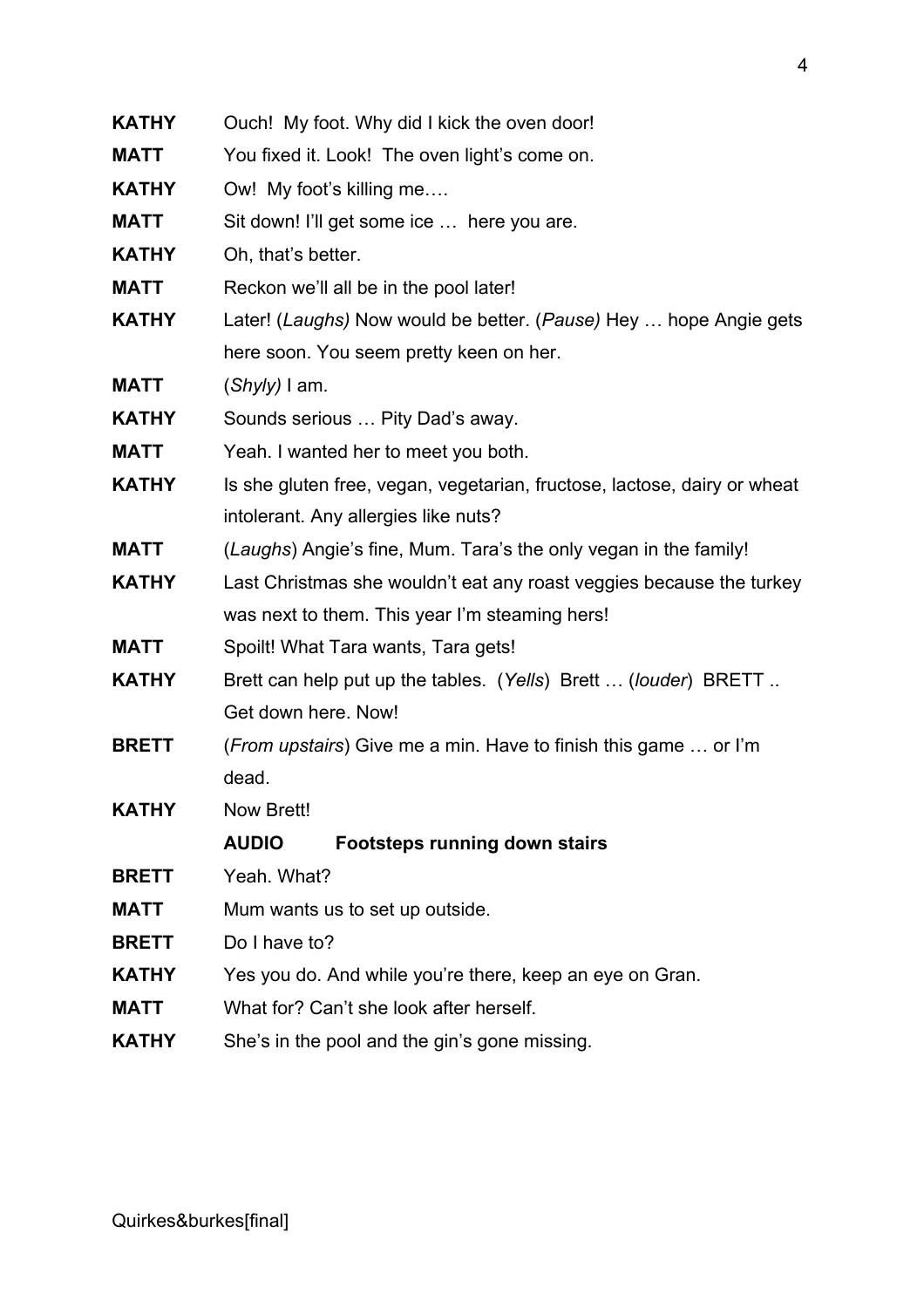| <b>KATHY</b> | Ouch! My foot. Why did I kick the oven door!                             |  |
|--------------|--------------------------------------------------------------------------|--|
| <b>MATT</b>  | You fixed it. Look! The oven light's come on.                            |  |
| <b>KATHY</b> | Ow! My foot's killing me                                                 |  |
| <b>MATT</b>  | Sit down! I'll get some ice  here you are.                               |  |
| <b>KATHY</b> | Oh, that's better.                                                       |  |
| <b>MATT</b>  | Reckon we'll all be in the pool later!                                   |  |
| <b>KATHY</b> | Later! (Laughs) Now would be better. (Pause) Hey  hope Angie gets        |  |
|              | here soon. You seem pretty keen on her.                                  |  |
| <b>MATT</b>  | $(Shyly)$ I am.                                                          |  |
| <b>KATHY</b> | Sounds serious  Pity Dad's away.                                         |  |
| <b>MATT</b>  | Yeah. I wanted her to meet you both.                                     |  |
| <b>KATHY</b> | Is she gluten free, vegan, vegetarian, fructose, lactose, dairy or wheat |  |
|              | intolerant. Any allergies like nuts?                                     |  |
| <b>MATT</b>  | (Laughs) Angie's fine, Mum. Tara's the only vegan in the family!         |  |
| <b>KATHY</b> | Last Christmas she wouldn't eat any roast veggies because the turkey     |  |
|              | was next to them. This year I'm steaming hers!                           |  |
| <b>MATT</b>  | Spoilt! What Tara wants, Tara gets!                                      |  |
| <b>KATHY</b> | Brett can help put up the tables. (Yells) Brett  (louder) BRETT          |  |
|              | Get down here. Now!                                                      |  |
| <b>BRETT</b> | ( <i>From upstairs</i> ) Give me a min. Have to finish this game  or I'm |  |
|              | dead.                                                                    |  |
| <b>KATHY</b> | Now Brett!                                                               |  |
|              | <b>AUDIO</b><br><b>Footsteps running down stairs</b>                     |  |
| <b>BRETT</b> | Yeah. What?                                                              |  |
| <b>MATT</b>  | Mum wants us to set up outside.                                          |  |
| <b>BRETT</b> | Do I have to?                                                            |  |
| <b>KATHY</b> | Yes you do. And while you're there, keep an eye on Gran.                 |  |
| <b>MATT</b>  | What for? Can't she look after herself.                                  |  |
| <b>KATHY</b> | She's in the pool and the gin's gone missing.                            |  |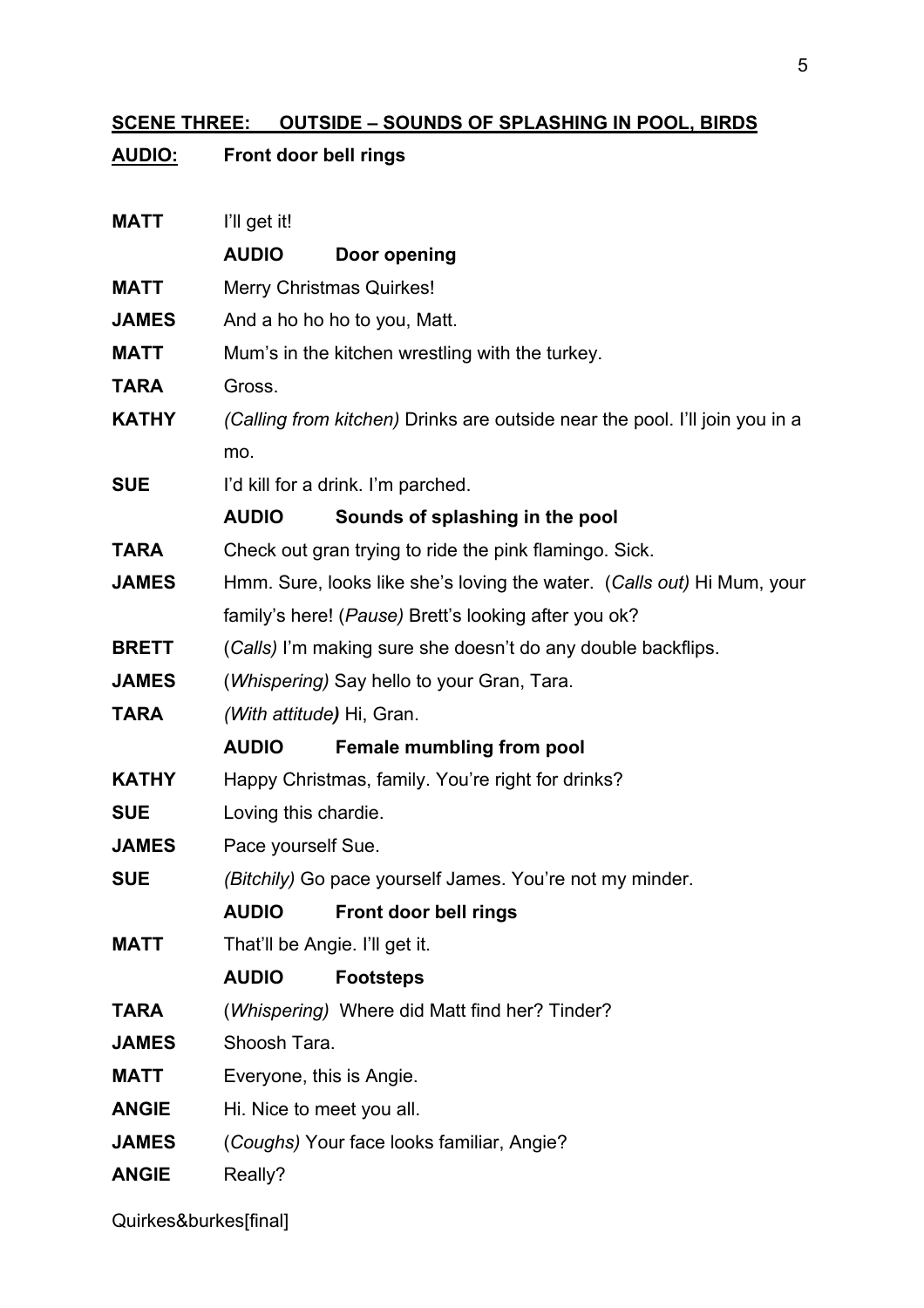## **SCENE THREE: OUTSIDE – SOUNDS OF SPLASHING IN POOL, BIRDS**

| <u>AUDIO:</u> | Front door bell rings                      |                                                                             |
|---------------|--------------------------------------------|-----------------------------------------------------------------------------|
| <b>MATT</b>   | I'll get it!                               |                                                                             |
|               | <b>AUDIO</b>                               | Door opening                                                                |
| <b>MATT</b>   |                                            | <b>Merry Christmas Quirkes!</b>                                             |
| <b>JAMES</b>  |                                            | And a ho ho ho to you, Matt.                                                |
| <b>MATT</b>   |                                            | Mum's in the kitchen wrestling with the turkey.                             |
| <b>TARA</b>   | Gross.                                     |                                                                             |
| <b>KATHY</b>  |                                            | (Calling from kitchen) Drinks are outside near the pool. I'll join you in a |
|               | mo.                                        |                                                                             |
| <b>SUE</b>    |                                            | I'd kill for a drink. I'm parched.                                          |
|               | <b>AUDIO</b>                               | Sounds of splashing in the pool                                             |
| <b>TARA</b>   |                                            | Check out gran trying to ride the pink flamingo. Sick.                      |
| <b>JAMES</b>  |                                            | Hmm. Sure, looks like she's loving the water. (Calls out) Hi Mum, your      |
|               |                                            | family's here! (Pause) Brett's looking after you ok?                        |
| <b>BRETT</b>  |                                            | (Calls) I'm making sure she doesn't do any double backflips.                |
| <b>JAMES</b>  | (Whispering) Say hello to your Gran, Tara. |                                                                             |
| <b>TARA</b>   | (With attitude) Hi, Gran.                  |                                                                             |
|               | <b>AUDIO</b>                               | Female mumbling from pool                                                   |
| <b>KATHY</b>  |                                            | Happy Christmas, family. You're right for drinks?                           |
| <b>SUE</b>    | Loving this chardie.                       |                                                                             |
| <b>JAMES</b>  | Pace yourself Sue.                         |                                                                             |
| <b>SUE</b>    |                                            | (Bitchily) Go pace yourself James. You're not my minder.                    |
|               | <b>AUDIO</b>                               | Front door bell rings                                                       |
| <b>MATT</b>   |                                            | That'll be Angie. I'll get it.                                              |
|               | <b>AUDIO</b>                               | <b>Footsteps</b>                                                            |
| <b>TARA</b>   |                                            | (Whispering) Where did Matt find her? Tinder?                               |
| <b>JAMES</b>  | Shoosh Tara.                               |                                                                             |
| <b>MATT</b>   | Everyone, this is Angie.                   |                                                                             |
| <b>ANGIE</b>  | Hi. Nice to meet you all.                  |                                                                             |
| <b>JAMES</b>  |                                            | (Coughs) Your face looks familiar, Angie?                                   |
| <b>ANGIE</b>  | Really?                                    |                                                                             |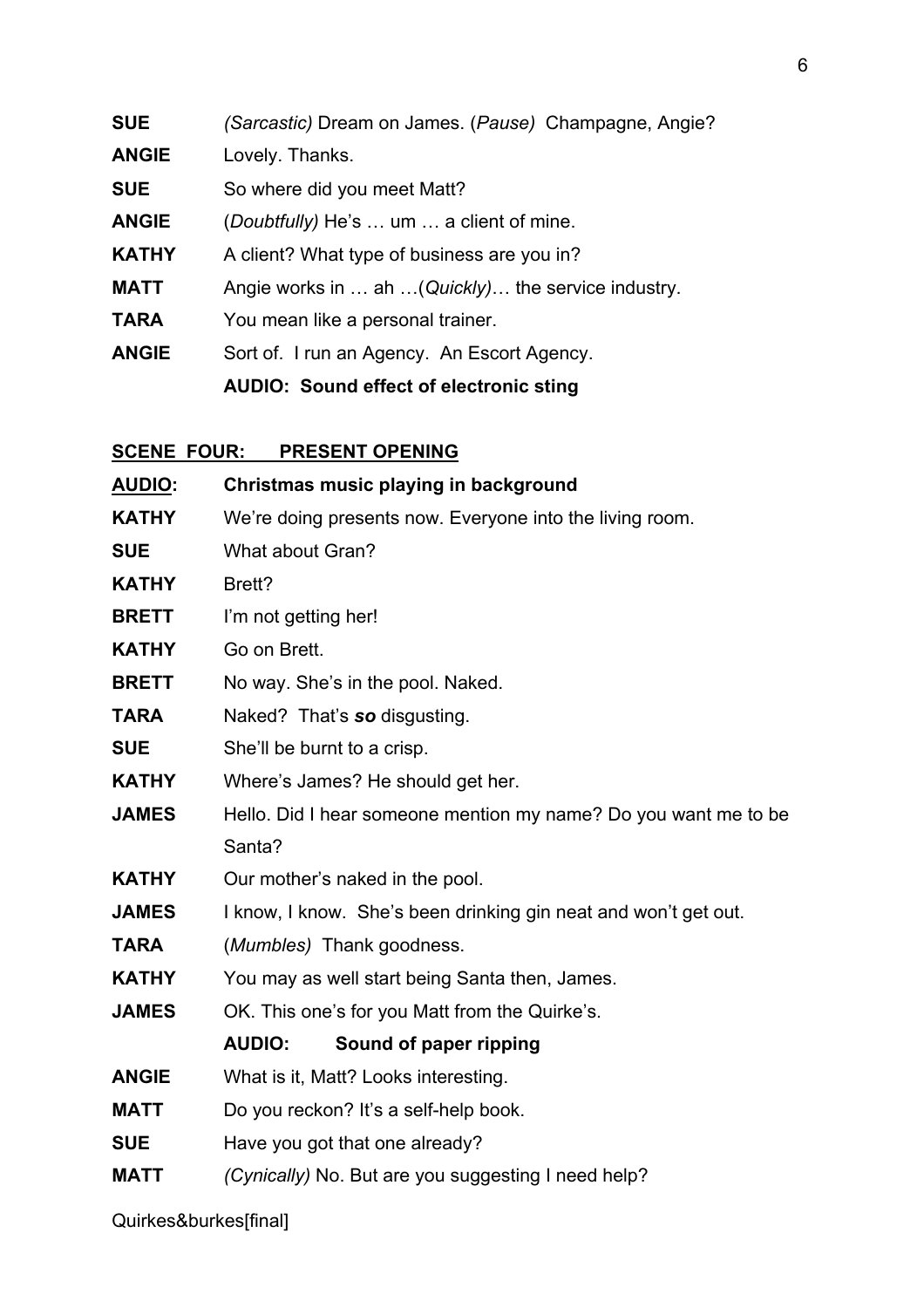| <b>SUE</b>   | (Sarcastic) Dream on James. (Pause) Champagne, Angie? |
|--------------|-------------------------------------------------------|
| <b>ANGIE</b> | Lovely. Thanks.                                       |

**SUE** So where did you meet Matt?

**ANGIE** (*Doubtfully)* He's … um … a client of mine.

- **KATHY** A client? What type of business are you in?
- **MATT** Angie works in … ah …(*Quickly)*… the service industry.
- **TARA** You mean like a personal trainer.
- **ANGIE** Sort of. I run an Agency. An Escort Agency.

**AUDIO: Sound effect of electronic sting**

#### **SCENE FOUR: PRESENT OPENING**

| <b>AUDIO:</b> | Christmas music playing in background                           |
|---------------|-----------------------------------------------------------------|
| <b>KATHY</b>  | We're doing presents now. Everyone into the living room.        |
| <b>SUE</b>    | What about Gran?                                                |
| <b>KATHY</b>  | Brett?                                                          |
| <b>BRETT</b>  | I'm not getting her!                                            |
| <b>KATHY</b>  | Go on Brett.                                                    |
| <b>BRETT</b>  | No way. She's in the pool. Naked.                               |
| <b>TARA</b>   | Naked? That's so disgusting.                                    |
| <b>SUE</b>    | She'll be burnt to a crisp.                                     |
| <b>KATHY</b>  | Where's James? He should get her.                               |
| <b>JAMES</b>  | Hello. Did I hear someone mention my name? Do you want me to be |
|               | Santa?                                                          |
| <b>KATHY</b>  | Our mother's naked in the pool.                                 |
| <b>JAMES</b>  | I know, I know. She's been drinking gin neat and won't get out. |
| <b>TARA</b>   | (Mumbles) Thank goodness.                                       |
| <b>KATHY</b>  | You may as well start being Santa then, James.                  |
| <b>JAMES</b>  | OK. This one's for you Matt from the Quirke's.                  |
|               | <b>AUDIO:</b><br>Sound of paper ripping                         |
| <b>ANGIE</b>  | What is it, Matt? Looks interesting.                            |
| <b>MATT</b>   | Do you reckon? It's a self-help book.                           |
| <b>SUE</b>    | Have you got that one already?                                  |
| <b>MATT</b>   | (Cynically) No. But are you suggesting I need help?             |
|               |                                                                 |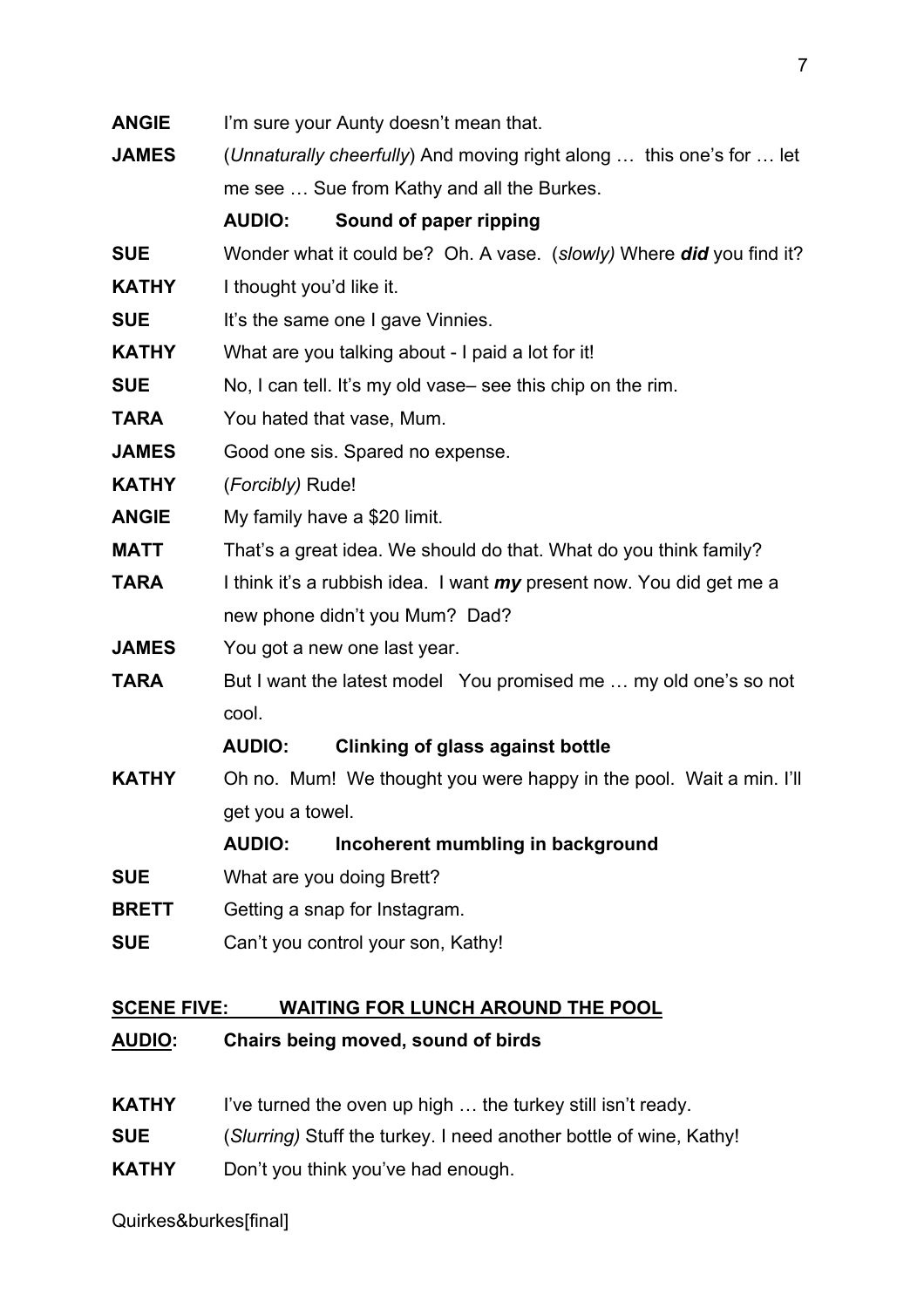| <b>ANGIE</b> | I'm sure your Aunty doesn't mean that.                                      |  |
|--------------|-----------------------------------------------------------------------------|--|
| <b>JAMES</b> | (Unnaturally cheerfully) And moving right along  this one's for  let        |  |
|              | me see  Sue from Kathy and all the Burkes.                                  |  |
|              | Sound of paper ripping<br><b>AUDIO:</b>                                     |  |
| <b>SUE</b>   | Wonder what it could be? Oh. A vase. (slowly) Where did you find it?        |  |
| <b>KATHY</b> | I thought you'd like it.                                                    |  |
| <b>SUE</b>   | It's the same one I gave Vinnies.                                           |  |
| <b>KATHY</b> | What are you talking about - I paid a lot for it!                           |  |
| <b>SUE</b>   | No, I can tell. It's my old vase-see this chip on the rim.                  |  |
| <b>TARA</b>  | You hated that vase, Mum.                                                   |  |
| <b>JAMES</b> | Good one sis. Spared no expense.                                            |  |
| <b>KATHY</b> | (Forcibly) Rude!                                                            |  |
| <b>ANGIE</b> | My family have a \$20 limit.                                                |  |
| <b>MATT</b>  | That's a great idea. We should do that. What do you think family?           |  |
| <b>TARA</b>  | I think it's a rubbish idea. I want <i>my</i> present now. You did get me a |  |
|              | new phone didn't you Mum? Dad?                                              |  |
| <b>JAMES</b> | You got a new one last year.                                                |  |
| <b>TARA</b>  | But I want the latest model You promised me  my old one's so not            |  |
|              | cool.                                                                       |  |
|              | <b>AUDIO:</b><br><b>Clinking of glass against bottle</b>                    |  |
| <b>KATHY</b> | Oh no. Mum! We thought you were happy in the pool. Wait a min. I'll         |  |
|              | get you a towel.                                                            |  |
|              | <b>AUDIO:</b><br>Incoherent mumbling in background                          |  |
| <b>SUE</b>   | What are you doing Brett?                                                   |  |
| <b>BRETT</b> | Getting a snap for Instagram.                                               |  |
| <b>SUE</b>   | Can't you control your son, Kathy!                                          |  |
|              |                                                                             |  |
|              |                                                                             |  |

## **SCENE FIVE: WAITING FOR LUNCH AROUND THE POOL**

- **AUDIO: Chairs being moved, sound of birds**
- **KATHY** I've turned the oven up high ... the turkey still isn't ready.
- **SUE** (*Slurring)* Stuff the turkey. I need another bottle of wine, Kathy!
- **KATHY** Don't you think you've had enough.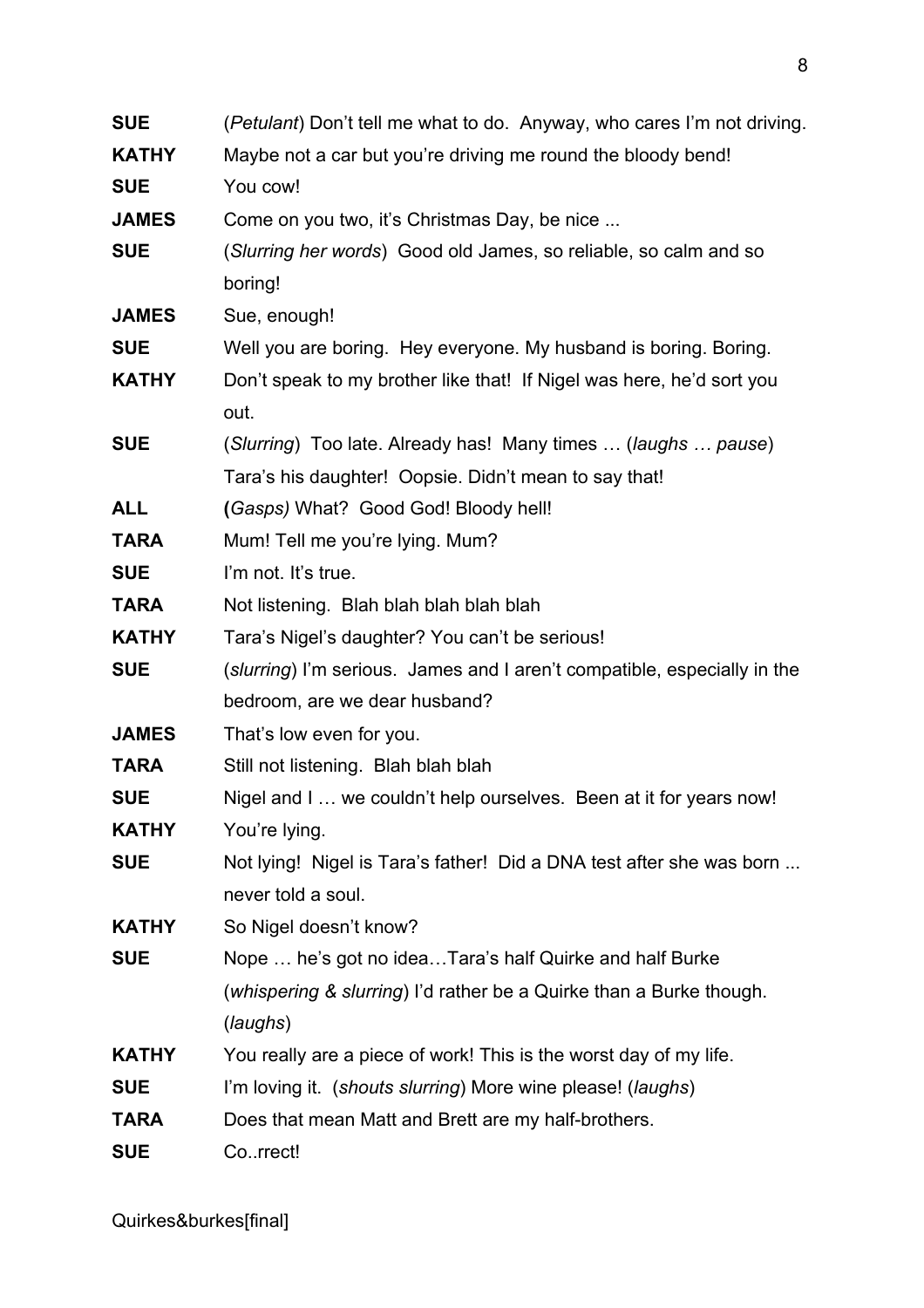| <b>SUE</b>   | (Petulant) Don't tell me what to do. Anyway, who cares I'm not driving.  |
|--------------|--------------------------------------------------------------------------|
| <b>KATHY</b> | Maybe not a car but you're driving me round the bloody bend!             |
| <b>SUE</b>   | You cow!                                                                 |
| <b>JAMES</b> | Come on you two, it's Christmas Day, be nice                             |
| <b>SUE</b>   | (Slurring her words) Good old James, so reliable, so calm and so         |
|              | boring!                                                                  |
| <b>JAMES</b> | Sue, enough!                                                             |
| <b>SUE</b>   | Well you are boring. Hey everyone. My husband is boring. Boring.         |
| <b>KATHY</b> | Don't speak to my brother like that! If Nigel was here, he'd sort you    |
|              | out.                                                                     |
| <b>SUE</b>   | (Slurring) Too late. Already has! Many times  (laughs  pause)            |
|              | Tara's his daughter! Oopsie. Didn't mean to say that!                    |
| <b>ALL</b>   | (Gasps) What? Good God! Bloody hell!                                     |
| <b>TARA</b>  | Mum! Tell me you're lying. Mum?                                          |
| <b>SUE</b>   | I'm not. It's true.                                                      |
| <b>TARA</b>  | Not listening. Blah blah blah blah blah                                  |
| <b>KATHY</b> | Tara's Nigel's daughter? You can't be serious!                           |
| <b>SUE</b>   | (slurring) I'm serious. James and I aren't compatible, especially in the |
|              | bedroom, are we dear husband?                                            |
| <b>JAMES</b> | That's low even for you.                                                 |
| <b>TARA</b>  | Still not listening. Blah blah blah                                      |
| <b>SUE</b>   | Nigel and I we couldn't help ourselves. Been at it for years now!        |
| <b>KATHY</b> | You're lying.                                                            |
| <b>SUE</b>   | Not lying! Nigel is Tara's father! Did a DNA test after she was born     |
|              | never told a soul.                                                       |
| <b>KATHY</b> | So Nigel doesn't know?                                                   |
| <b>SUE</b>   | Nope  he's got no ideaTara's half Quirke and half Burke                  |
|              | (whispering & slurring) I'd rather be a Quirke than a Burke though.      |
|              | (laughs)                                                                 |
| <b>KATHY</b> | You really are a piece of work! This is the worst day of my life.        |
| <b>SUE</b>   | I'm loving it. (shouts slurring) More wine please! (laughs)              |
| <b>TARA</b>  | Does that mean Matt and Brett are my half-brothers.                      |
| <b>SUE</b>   | Correct!                                                                 |